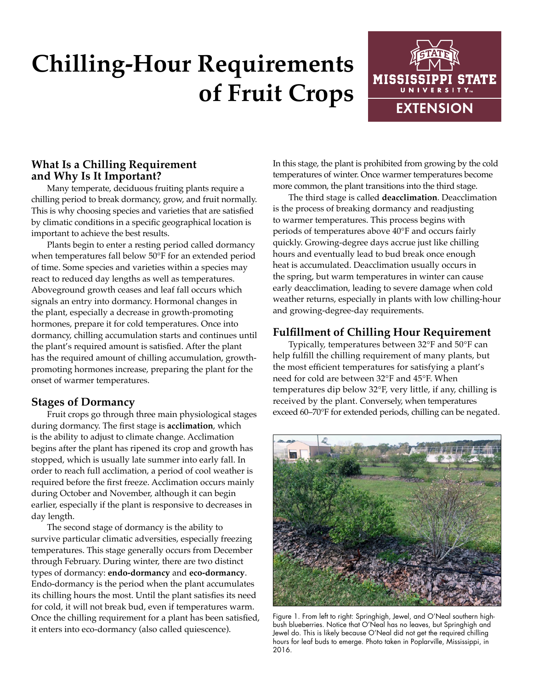# **Chilling-Hour Requirements of Fruit Crops**



### **What Is a Chilling Requirement and Why Is It Important?**

Many temperate, deciduous fruiting plants require a chilling period to break dormancy, grow, and fruit normally. This is why choosing species and varieties that are satisfied by climatic conditions in a specific geographical location is important to achieve the best results.

Plants begin to enter a resting period called dormancy when temperatures fall below 50°F for an extended period of time. Some species and varieties within a species may react to reduced day lengths as well as temperatures. Aboveground growth ceases and leaf fall occurs which signals an entry into dormancy. Hormonal changes in the plant, especially a decrease in growth-promoting hormones, prepare it for cold temperatures. Once into dormancy, chilling accumulation starts and continues until the plant's required amount is satisfied. After the plant has the required amount of chilling accumulation, growthpromoting hormones increase, preparing the plant for the onset of warmer temperatures.

### **Stages of Dormancy**

Fruit crops go through three main physiological stages during dormancy. The first stage is **acclimation**, which is the ability to adjust to climate change. Acclimation begins after the plant has ripened its crop and growth has stopped, which is usually late summer into early fall. In order to reach full acclimation, a period of cool weather is required before the first freeze. Acclimation occurs mainly during October and November, although it can begin earlier, especially if the plant is responsive to decreases in day length.

The second stage of dormancy is the ability to survive particular climatic adversities, especially freezing temperatures. This stage generally occurs from December through February. During winter, there are two distinct types of dormancy: **endo-dormancy** and **eco-dormancy**. Endo-dormancy is the period when the plant accumulates its chilling hours the most. Until the plant satisfies its need for cold, it will not break bud, even if temperatures warm. Once the chilling requirement for a plant has been satisfied, it enters into eco-dormancy (also called quiescence).

In this stage, the plant is prohibited from growing by the cold temperatures of winter. Once warmer temperatures become more common, the plant transitions into the third stage.

The third stage is called **deacclimation**. Deacclimation is the process of breaking dormancy and readjusting to warmer temperatures. This process begins with periods of temperatures above 40°F and occurs fairly quickly. Growing-degree days accrue just like chilling hours and eventually lead to bud break once enough heat is accumulated. Deacclimation usually occurs in the spring, but warm temperatures in winter can cause early deacclimation, leading to severe damage when cold weather returns, especially in plants with low chilling-hour and growing-degree-day requirements.

# **Fulfillment of Chilling Hour Requirement**

Typically, temperatures between 32°F and 50°F can help fulfill the chilling requirement of many plants, but the most efficient temperatures for satisfying a plant's need for cold are between 32°F and 45°F. When temperatures dip below 32°F, very little, if any, chilling is received by the plant. Conversely, when temperatures exceed 60–70°F for extended periods, chilling can be negated.



Figure 1. From left to right: Springhigh, Jewel, and O'Neal southern highbush blueberries. Notice that O'Neal has no leaves, but Springhigh and Jewel do. This is likely because O'Neal did not get the required chilling hours for leaf buds to emerge. Photo taken in Poplarville, Mississippi, in 2016.